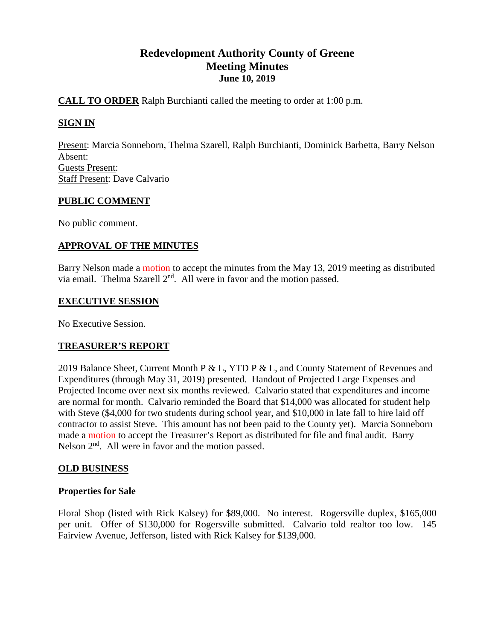# **Redevelopment Authority County of Greene Meeting Minutes June 10, 2019**

## **CALL TO ORDER** Ralph Burchianti called the meeting to order at 1:00 p.m.

# **SIGN IN**

Present: Marcia Sonneborn, Thelma Szarell, Ralph Burchianti, Dominick Barbetta, Barry Nelson Absent: Guests Present: Staff Present: Dave Calvario

## **PUBLIC COMMENT**

No public comment.

## **APPROVAL OF THE MINUTES**

Barry Nelson made a motion to accept the minutes from the May 13, 2019 meeting as distributed via email. Thelma Szarell 2<sup>nd</sup>. All were in favor and the motion passed.

#### **EXECUTIVE SESSION**

No Executive Session.

## **TREASURER'S REPORT**

2019 Balance Sheet, Current Month P & L, YTD P & L, and County Statement of Revenues and Expenditures (through May 31, 2019) presented. Handout of Projected Large Expenses and Projected Income over next six months reviewed. Calvario stated that expenditures and income are normal for month. Calvario reminded the Board that \$14,000 was allocated for student help with Steve (\$4,000 for two students during school year, and \$10,000 in late fall to hire laid off contractor to assist Steve. This amount has not been paid to the County yet). Marcia Sonneborn made a motion to accept the Treasurer's Report as distributed for file and final audit. Barry Nelson  $2<sup>nd</sup>$ . All were in favor and the motion passed.

## **OLD BUSINESS**

## **Properties for Sale**

Floral Shop (listed with Rick Kalsey) for \$89,000. No interest. Rogersville duplex, \$165,000 per unit. Offer of \$130,000 for Rogersville submitted. Calvario told realtor too low. 145 Fairview Avenue, Jefferson, listed with Rick Kalsey for \$139,000.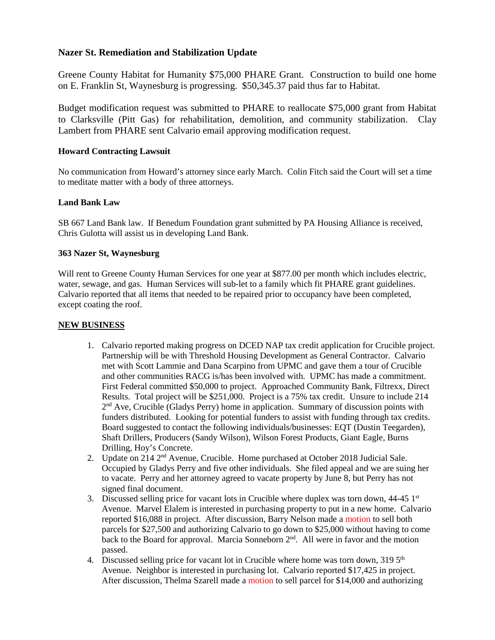## **Nazer St. Remediation and Stabilization Update**

Greene County Habitat for Humanity \$75,000 PHARE Grant. Construction to build one home on E. Franklin St, Waynesburg is progressing. \$50,345.37 paid thus far to Habitat.

Budget modification request was submitted to PHARE to reallocate \$75,000 grant from Habitat to Clarksville (Pitt Gas) for rehabilitation, demolition, and community stabilization. Clay Lambert from PHARE sent Calvario email approving modification request.

## **Howard Contracting Lawsuit**

No communication from Howard's attorney since early March. Colin Fitch said the Court will set a time to meditate matter with a body of three attorneys.

#### **Land Bank Law**

SB 667 Land Bank law. If Benedum Foundation grant submitted by PA Housing Alliance is received, Chris Gulotta will assist us in developing Land Bank.

#### **363 Nazer St, Waynesburg**

Will rent to Greene County Human Services for one year at \$877.00 per month which includes electric, water, sewage, and gas. Human Services will sub-let to a family which fit PHARE grant guidelines. Calvario reported that all items that needed to be repaired prior to occupancy have been completed, except coating the roof.

#### **NEW BUSINESS**

- 1. Calvario reported making progress on DCED NAP tax credit application for Crucible project. Partnership will be with Threshold Housing Development as General Contractor. Calvario met with Scott Lammie and Dana Scarpino from UPMC and gave them a tour of Crucible and other communities RACG is/has been involved with. UPMC has made a commitment. First Federal committed \$50,000 to project. Approached Community Bank, Filtrexx, Direct Results. Total project will be \$251,000. Project is a 75% tax credit. Unsure to include 214  $2<sup>nd</sup>$  Ave, Crucible (Gladys Perry) home in application. Summary of discussion points with funders distributed. Looking for potential funders to assist with funding through tax credits. Board suggested to contact the following individuals/businesses: EQT (Dustin Teegarden), Shaft Drillers, Producers (Sandy Wilson), Wilson Forest Products, Giant Eagle, Burns Drilling, Hoy's Concrete.
- 2. Update on 214 2<sup>nd</sup> Avenue, Crucible. Home purchased at October 2018 Judicial Sale. Occupied by Gladys Perry and five other individuals. She filed appeal and we are suing her to vacate. Perry and her attorney agreed to vacate property by June 8, but Perry has not signed final document.
- 3. Discussed selling price for vacant lots in Crucible where duplex was torn down,  $44-45$   $1<sup>st</sup>$ Avenue. Marvel Elalem is interested in purchasing property to put in a new home. Calvario reported \$16,088 in project. After discussion, Barry Nelson made a motion to sell both parcels for \$27,500 and authorizing Calvario to go down to \$25,000 without having to come back to the Board for approval. Marcia Sonneborn  $2<sup>nd</sup>$ . All were in favor and the motion passed.
- 4. Discussed selling price for vacant lot in Crucible where home was torn down, 319 5<sup>th</sup> Avenue. Neighbor is interested in purchasing lot. Calvario reported \$17,425 in project. After discussion, Thelma Szarell made a motion to sell parcel for \$14,000 and authorizing